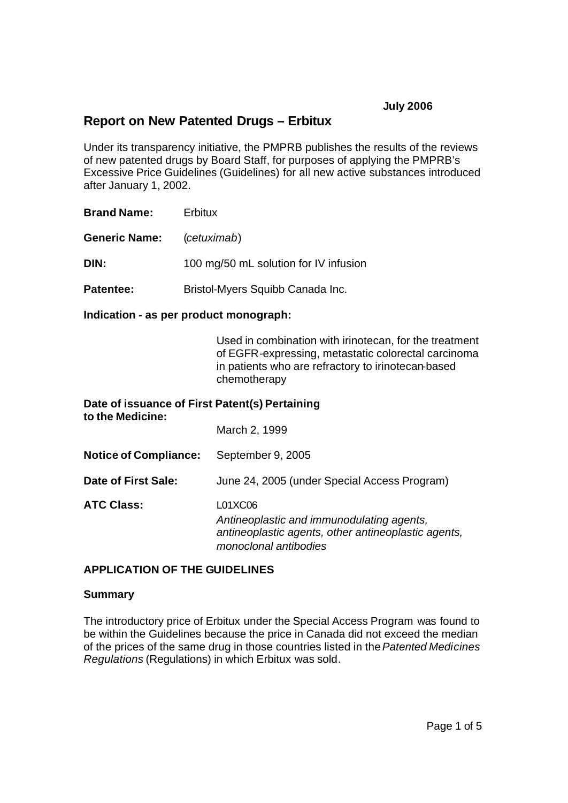# **July 2006**

# **Report on New Patented Drugs – Erbitux**

Under its transparency initiative, the PMPRB publishes the results of the reviews of new patented drugs by Board Staff, for purposes of applying the PMPRB's Excessive Price Guidelines (Guidelines) for all new active substances introduced after January 1, 2002.

**Brand Name:** Erbitux

**Generic Name:** (*cetuximab*)

**DIN:** 100 mg/50 mL solution for IV infusion

**Patentee:** Bristol-Myers Squibb Canada Inc.

**Indication - as per product monograph:**

Used in combination with irinotecan, for the treatment of EGFR-expressing, metastatic colorectal carcinoma in patients who are refractory to irinotecan-based chemotherapy

| Date of issuance of First Patent(s) Pertaining<br>to the Medicine: |                                                                                                                                      |
|--------------------------------------------------------------------|--------------------------------------------------------------------------------------------------------------------------------------|
|                                                                    | March 2, 1999                                                                                                                        |
| <b>Notice of Compliance:</b>                                       | September 9, 2005                                                                                                                    |
| Date of First Sale:                                                | June 24, 2005 (under Special Access Program)                                                                                         |
| <b>ATC Class:</b>                                                  | L01XC06<br>Antineoplastic and immunodulating agents,<br>antineoplastic agents, other antineoplastic agents,<br>monoclonal antibodies |

## **APPLICATION OF THE GUIDELINES**

## **Summary**

The introductory price of Erbitux under the Special Access Program was found to be within the Guidelines because the price in Canada did not exceed the median of the prices of the same drug in those countries listed in the *Patented Medicines Regulations* (Regulations) in which Erbitux was sold.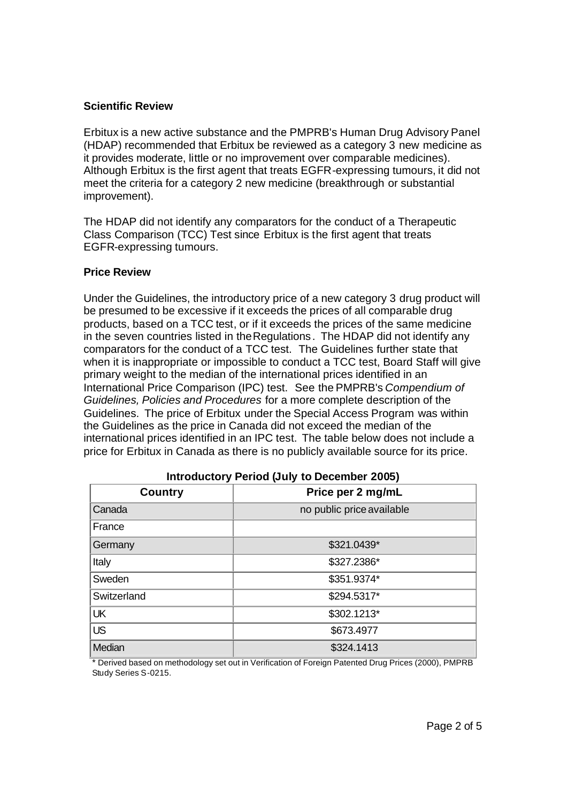# **Scientific Review**

Erbitux is a new active substance and the PMPRB's Human Drug Advisory Panel (HDAP) recommended that Erbitux be reviewed as a category 3 new medicine as it provides moderate, little or no improvement over comparable medicines). Although Erbitux is the first agent that treats EGFR-expressing tumours, it did not meet the criteria for a category 2 new medicine (breakthrough or substantial improvement).

The HDAP did not identify any comparators for the conduct of a Therapeutic Class Comparison (TCC) Test since Erbitux is the first agent that treats EGFR-expressing tumours.

# **Price Review**

Under the Guidelines, the introductory price of a new category 3 drug product will be presumed to be excessive if it exceeds the prices of all comparable drug products, based on a TCC test, or if it exceeds the prices of the same medicine in the seven countries listed in the Regulations. The HDAP did not identify any comparators for the conduct of a TCC test. The Guidelines further state that when it is inappropriate or impossible to conduct a TCC test, Board Staff will give primary weight to the median of the international prices identified in an International Price Comparison (IPC) test. See the PMPRB's *Compendium of Guidelines, Policies and Procedures* for a more complete description of the Guidelines. The price of Erbitux under the Special Access Program was within the Guidelines as the price in Canada did not exceed the median of the international prices identified in an IPC test. The table below does not include a price for Erbitux in Canada as there is no publicly available source for its price.

| $11111$ $24400101$ $7$ $1$ $21124$ $10417$ $10$ $20001111001$ $20000$ |                           |
|-----------------------------------------------------------------------|---------------------------|
| <b>Country</b>                                                        | Price per 2 mg/mL         |
| Canada                                                                | no public price available |
| France                                                                |                           |
| Germany                                                               | \$321.0439*               |
| Italy                                                                 | \$327.2386*               |
| Sweden                                                                | \$351.9374*               |
| Switzerland                                                           | \$294.5317*               |
| UK                                                                    | \$302.1213*               |
| <b>US</b>                                                             | \$673.4977                |
| Median                                                                | \$324.1413                |

## **Introductory Period (July to December 2005)**

\* Derived based on methodology set out in Verification of Foreign Patented Drug Prices (2000), PMPRB Study Series S-0215.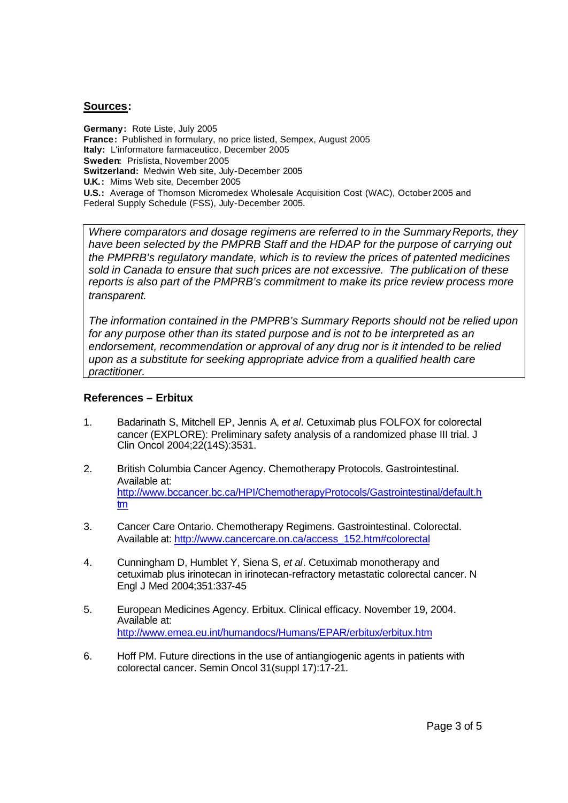#### **Sources:**

**Germany:** Rote Liste, July 2005 **France:** Published in formulary, no price listed, Sempex, August 2005 **Italy:** L'informatore farmaceutico, December 2005 **Sweden:** Prislista, November 2005 **Switzerland:** Medwin Web site, July-December 2005 **U.K.:** Mims Web site, December 2005 **U.S.:** Average of Thomson Micromedex Wholesale Acquisition Cost (WAC), October 2005 and Federal Supply Schedule (FSS), July-December 2005.

*Where comparators and dosage regimens are referred to in the Summary Reports, they have been selected by the PMPRB Staff and the HDAP for the purpose of carrying out the PMPRB's regulatory mandate, which is to review the prices of patented medicines sold in Canada to ensure that such prices are not excessive. The publication of these reports is also part of the PMPRB's commitment to make its price review process more transparent.*

*The information contained in the PMPRB's Summary Reports should not be relied upon for any purpose other than its stated purpose and is not to be interpreted as an endorsement, recommendation or approval of any drug nor is it intended to be relied upon as a substitute for seeking appropriate advice from a qualified health care practitioner.*

#### **References – Erbitux**

- 1. Badarinath S, Mitchell EP, Jennis A, *et al*. Cetuximab plus FOLFOX for colorectal cancer (EXPLORE): Preliminary safety analysis of a randomized phase III trial. J Clin Oncol 2004;22(14S):3531.
- 2. British Columbia Cancer Agency. Chemotherapy Protocols. Gastrointestinal. Available at: http://www.bccancer.bc.ca/HPI/ChemotherapyProtocols/Gastrointestinal/default.h tm
- 3. Cancer Care Ontario. Chemotherapy Regimens. Gastrointestinal. Colorectal. Available at: http://www.cancercare.on.ca/access\_152.htm#colorectal
- 4. Cunningham D, Humblet Y, Siena S, *et al*. Cetuximab monotherapy and cetuximab plus irinotecan in irinotecan-refractory metastatic colorectal cancer. N Engl J Med 2004;351:337-45
- 5. European Medicines Agency. Erbitux. Clinical efficacy. November 19, 2004. Available at: http://www.emea.eu.int/humandocs/Humans/EPAR/erbitux/erbitux.htm
- 6. Hoff PM. Future directions in the use of antiangiogenic agents in patients with colorectal cancer. Semin Oncol 31(suppl 17):17-21.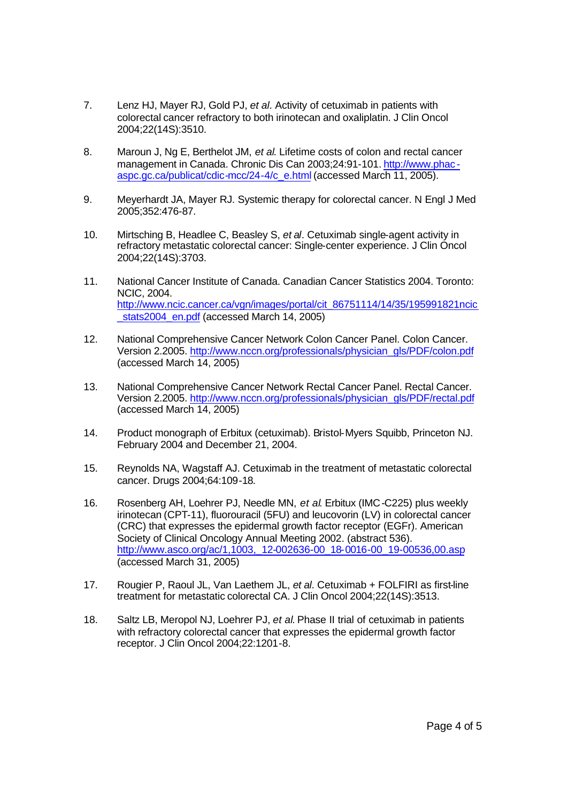- 7. Lenz HJ, Mayer RJ, Gold PJ, *et al*. Activity of cetuximab in patients with colorectal cancer refractory to both irinotecan and oxaliplatin. J Clin Oncol 2004;22(14S):3510.
- 8. Maroun J, Ng E, Berthelot JM, *et al*. Lifetime costs of colon and rectal cancer management in Canada. Chronic Dis Can 2003;24:91-101. http://www.phacaspc.gc.ca/publicat/cdic-mcc/24-4/c\_e.html (accessed March 11, 2005).
- 9. Meyerhardt JA, Mayer RJ. Systemic therapy for colorectal cancer. N Engl J Med 2005;352:476-87.
- 10. Mirtsching B, Headlee C, Beasley S, *et al*. Cetuximab single-agent activity in refractory metastatic colorectal cancer: Single-center experience. J Clin Oncol 2004;22(14S):3703.
- 11. National Cancer Institute of Canada. Canadian Cancer Statistics 2004. Toronto: NCIC, 2004. http://www.ncic.cancer.ca/vgn/images/portal/cit\_86751114/14/35/195991821ncic stats2004 en.pdf (accessed March 14, 2005)
- 12. National Comprehensive Cancer Network Colon Cancer Panel. Colon Cancer. Version 2.2005. http://www.nccn.org/professionals/physician\_gls/PDF/colon.pdf (accessed March 14, 2005)
- 13. National Comprehensive Cancer Network Rectal Cancer Panel. Rectal Cancer. Version 2.2005. http://www.nccn.org/professionals/physician\_gls/PDF/rectal.pdf (accessed March 14, 2005)
- 14. Product monograph of Erbitux (cetuximab). Bristol-Myers Squibb, Princeton NJ. February 2004 and December 21, 2004.
- 15. Reynolds NA, Wagstaff AJ. Cetuximab in the treatment of metastatic colorectal cancer. Drugs 2004;64:109-18.
- 16. Rosenberg AH, Loehrer PJ, Needle MN, *et al*. Erbitux (IMC-C225) plus weekly irinotecan (CPT-11), fluorouracil (5FU) and leucovorin (LV) in colorectal cancer (CRC) that expresses the epidermal growth factor receptor (EGFr). American Society of Clinical Oncology Annual Meeting 2002. (abstract 536). http://www.asco.org/ac/1,1003, 12-002636-00\_18-0016-00\_19-00536,00.asp (accessed March 31, 2005)
- 17. Rougier P, Raoul JL, Van Laethem JL, *et al*. Cetuximab + FOLFIRI as first-line treatment for metastatic colorectal CA. J Clin Oncol 2004;22(14S):3513.
- 18. Saltz LB, Meropol NJ, Loehrer PJ, *et al*. Phase II trial of cetuximab in patients with refractory colorectal cancer that expresses the epidermal growth factor receptor. J Clin Oncol 2004;22:1201-8.